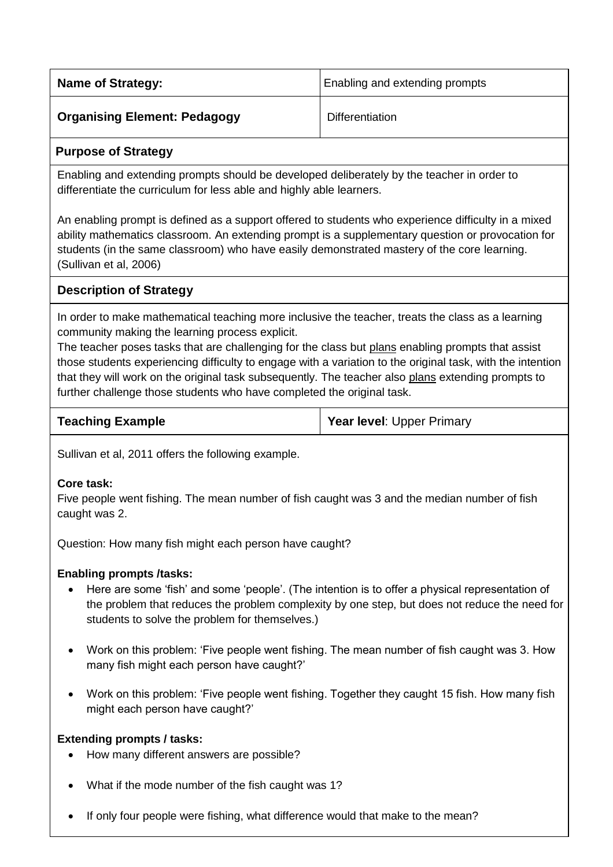| <b>Name of Strategy:</b>            | Enabling and extending prompts |
|-------------------------------------|--------------------------------|
| <b>Organising Element: Pedagogy</b> | Differentiation                |

### **Purpose of Strategy**

Enabling and extending prompts should be developed deliberately by the teacher in order to differentiate the curriculum for less able and highly able learners.

An enabling prompt is defined as a support offered to students who experience difficulty in a mixed ability mathematics classroom. An extending prompt is a supplementary question or provocation for students (in the same classroom) who have easily demonstrated mastery of the core learning. (Sullivan et al, 2006)

## **Description of Strategy**

In order to make mathematical teaching more inclusive the teacher, treats the class as a learning community making the learning process explicit.

The teacher poses tasks that are challenging for the class but plans enabling prompts that assist those students experiencing difficulty to engage with a variation to the original task, with the intention that they will work on the original task subsequently. The teacher also plans extending prompts to further challenge those students who have completed the original task.

| <b>Teaching Example</b> | <b>Year level: Upper Primary</b> |
|-------------------------|----------------------------------|
|-------------------------|----------------------------------|

Sullivan et al, 2011 offers the following example.

#### **Core task:**

Five people went fishing. The mean number of fish caught was 3 and the median number of fish caught was 2.

Question: How many fish might each person have caught?

### **Enabling prompts /tasks:**

- Here are some 'fish' and some 'people'. (The intention is to offer a physical representation of the problem that reduces the problem complexity by one step, but does not reduce the need for students to solve the problem for themselves.)
- Work on this problem: 'Five people went fishing. The mean number of fish caught was 3. How many fish might each person have caught?'
- Work on this problem: 'Five people went fishing. Together they caught 15 fish. How many fish might each person have caught?'

#### **Extending prompts / tasks:**

- How many different answers are possible?
- What if the mode number of the fish caught was 1?
- If only four people were fishing, what difference would that make to the mean?